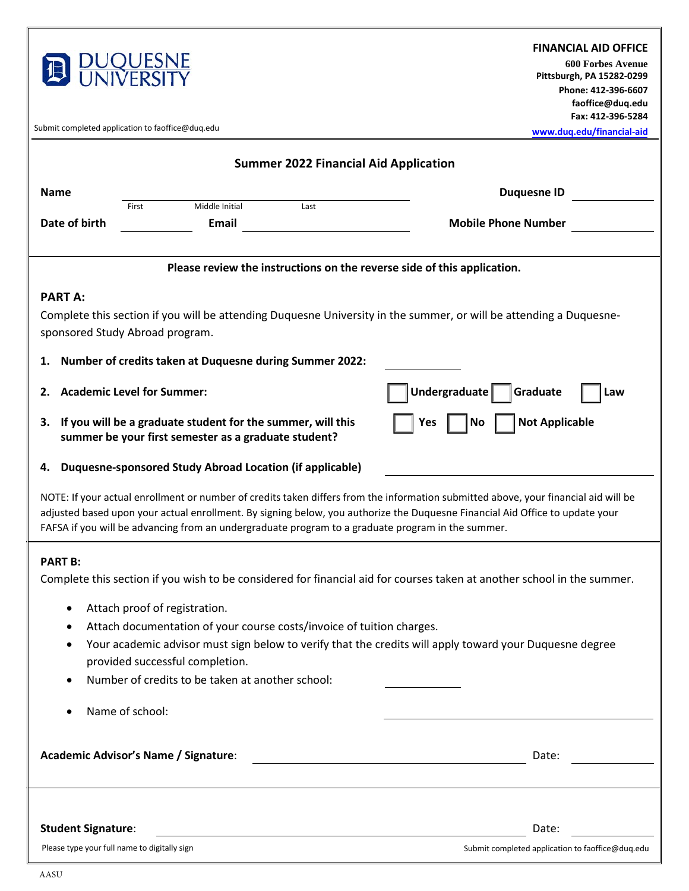

#### **FINANCIAL AID OFFICE**

**600 Forbes Avenue Pittsburgh, PA 15282-0299 Phone: 412-396-6607 faoffice@duq.edu [Fax: 412-396-5284](http://www.duq.edu/financial-aid)** 

**www.duq.edu/financial-aid**

Submit completed application to faoffice@duq.edu

| <b>Summer 2022 Financial Aid Application</b>                                                                                                                                                                                                                                                                                                                             |                                                  |                                                                                                                               |
|--------------------------------------------------------------------------------------------------------------------------------------------------------------------------------------------------------------------------------------------------------------------------------------------------------------------------------------------------------------------------|--------------------------------------------------|-------------------------------------------------------------------------------------------------------------------------------|
| <b>Name</b>                                                                                                                                                                                                                                                                                                                                                              |                                                  | <b>Duquesne ID</b>                                                                                                            |
|                                                                                                                                                                                                                                                                                                                                                                          | Middle Initial<br>Last<br>First                  |                                                                                                                               |
| Date of birth                                                                                                                                                                                                                                                                                                                                                            | Email                                            | <b>Mobile Phone Number</b>                                                                                                    |
| Please review the instructions on the reverse side of this application.                                                                                                                                                                                                                                                                                                  |                                                  |                                                                                                                               |
| <b>PART A:</b>                                                                                                                                                                                                                                                                                                                                                           |                                                  |                                                                                                                               |
| Complete this section if you will be attending Duquesne University in the summer, or will be attending a Duquesne-                                                                                                                                                                                                                                                       |                                                  |                                                                                                                               |
| sponsored Study Abroad program.                                                                                                                                                                                                                                                                                                                                          |                                                  |                                                                                                                               |
| 1. Number of credits taken at Duquesne during Summer 2022:                                                                                                                                                                                                                                                                                                               |                                                  |                                                                                                                               |
| 2.                                                                                                                                                                                                                                                                                                                                                                       | <b>Academic Level for Summer:</b>                | Undergraduate<br>Graduate<br>Law                                                                                              |
| If you will be a graduate student for the summer, will this<br><b>Not Applicable</b><br>3.<br>Yes<br>  No<br>summer be your first semester as a graduate student?                                                                                                                                                                                                        |                                                  |                                                                                                                               |
| 4. Duquesne-sponsored Study Abroad Location (if applicable)                                                                                                                                                                                                                                                                                                              |                                                  |                                                                                                                               |
| NOTE: If your actual enrollment or number of credits taken differs from the information submitted above, your financial aid will be<br>adjusted based upon your actual enrollment. By signing below, you authorize the Duquesne Financial Aid Office to update your<br>FAFSA if you will be advancing from an undergraduate program to a graduate program in the summer. |                                                  |                                                                                                                               |
| <b>PART B:</b><br>Complete this section if you wish to be considered for financial aid for courses taken at another school in the summer.                                                                                                                                                                                                                                |                                                  |                                                                                                                               |
| Attach proof of registration.                                                                                                                                                                                                                                                                                                                                            |                                                  |                                                                                                                               |
| Attach documentation of your course costs/invoice of tuition charges.                                                                                                                                                                                                                                                                                                    |                                                  |                                                                                                                               |
| Your academic advisor must sign below to verify that the credits will apply toward your Duquesne degree                                                                                                                                                                                                                                                                  |                                                  |                                                                                                                               |
| provided successful completion.                                                                                                                                                                                                                                                                                                                                          |                                                  |                                                                                                                               |
|                                                                                                                                                                                                                                                                                                                                                                          | Number of credits to be taken at another school: |                                                                                                                               |
|                                                                                                                                                                                                                                                                                                                                                                          | Name of school:                                  |                                                                                                                               |
|                                                                                                                                                                                                                                                                                                                                                                          |                                                  |                                                                                                                               |
| Academic Advisor's Name / Signature:                                                                                                                                                                                                                                                                                                                                     |                                                  | Date:<br><u> 1980 - Jan Stein Stein Stein Stein Stein Stein Stein Stein Stein Stein Stein Stein Stein Stein Stein Stein S</u> |
|                                                                                                                                                                                                                                                                                                                                                                          |                                                  |                                                                                                                               |
|                                                                                                                                                                                                                                                                                                                                                                          |                                                  |                                                                                                                               |

### **Student Signature:** Date:

Please type your full name to digitally sign structure and Submit completed application to faoffice@duq.edu